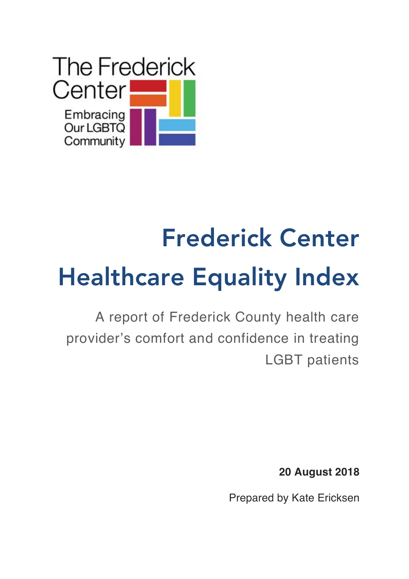

A report of Frederick County health care provider's comfort and confidence in treating LGBT patients

**20 August 2018**

Prepared by Kate Ericksen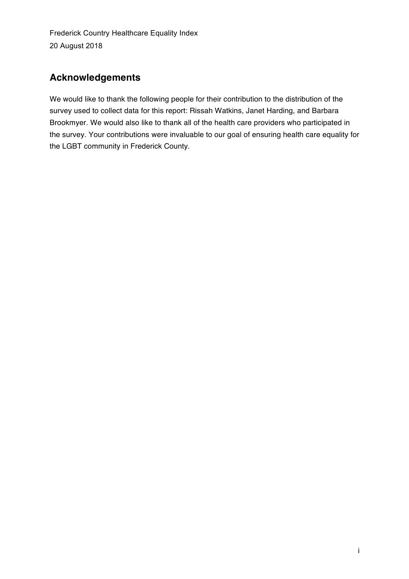### **Acknowledgements**

We would like to thank the following people for their contribution to the distribution of the survey used to collect data for this report: Rissah Watkins, Janet Harding, and Barbara Brookmyer. We would also like to thank all of the health care providers who participated in the survey. Your contributions were invaluable to our goal of ensuring health care equality for the LGBT community in Frederick County.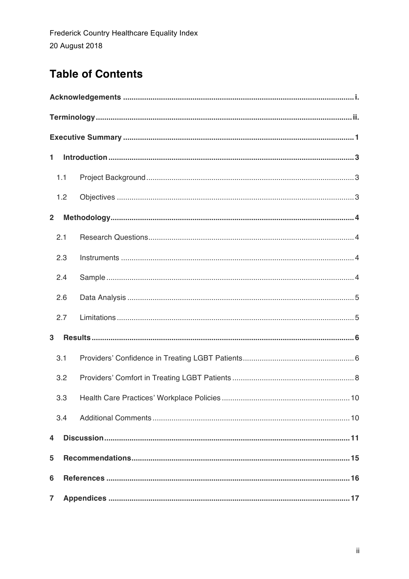# **Table of Contents**

| 1              |     | $\label{lem:1} \text{Introduction} \,\, \ldots \,\, \ldots \,\, \ldots \,\, \ldots \,\, \ldots \,\, \ldots \,\, \ldots \,\, \ldots \,\, \ldots \,\, \ldots \,\, \ldots \,\, \ldots \,\, \ldots \,\, \ldots \,\, \ldots \,\, \ldots \,\, \ldots \,\, \ldots \,\, \ldots \,\, \ldots \,\, \ldots \,\, \ldots \,\, \ldots \,\, \ldots \,\, \ldots \,\, \ldots \,\, \ldots \,\, \ldots \,\, \ldots \,\, \ldots \,\, \ldots \,\, \ldots \,\, \ldots \,\, \ldots \,\, \$ |  |  |  |  |
|----------------|-----|--------------------------------------------------------------------------------------------------------------------------------------------------------------------------------------------------------------------------------------------------------------------------------------------------------------------------------------------------------------------------------------------------------------------------------------------------------------------|--|--|--|--|
|                | 1.1 |                                                                                                                                                                                                                                                                                                                                                                                                                                                                    |  |  |  |  |
|                | 1.2 |                                                                                                                                                                                                                                                                                                                                                                                                                                                                    |  |  |  |  |
| $\overline{2}$ |     |                                                                                                                                                                                                                                                                                                                                                                                                                                                                    |  |  |  |  |
|                | 2.1 |                                                                                                                                                                                                                                                                                                                                                                                                                                                                    |  |  |  |  |
|                | 2.3 |                                                                                                                                                                                                                                                                                                                                                                                                                                                                    |  |  |  |  |
|                | 2.4 |                                                                                                                                                                                                                                                                                                                                                                                                                                                                    |  |  |  |  |
|                | 2.6 |                                                                                                                                                                                                                                                                                                                                                                                                                                                                    |  |  |  |  |
|                | 2.7 |                                                                                                                                                                                                                                                                                                                                                                                                                                                                    |  |  |  |  |
| 3              |     |                                                                                                                                                                                                                                                                                                                                                                                                                                                                    |  |  |  |  |
|                | 3.1 |                                                                                                                                                                                                                                                                                                                                                                                                                                                                    |  |  |  |  |
|                | 3.2 |                                                                                                                                                                                                                                                                                                                                                                                                                                                                    |  |  |  |  |
|                | 3.3 |                                                                                                                                                                                                                                                                                                                                                                                                                                                                    |  |  |  |  |
|                | 3.4 |                                                                                                                                                                                                                                                                                                                                                                                                                                                                    |  |  |  |  |
| 4              |     |                                                                                                                                                                                                                                                                                                                                                                                                                                                                    |  |  |  |  |
| 5              |     |                                                                                                                                                                                                                                                                                                                                                                                                                                                                    |  |  |  |  |
| 6              |     |                                                                                                                                                                                                                                                                                                                                                                                                                                                                    |  |  |  |  |
| $\overline{7}$ |     |                                                                                                                                                                                                                                                                                                                                                                                                                                                                    |  |  |  |  |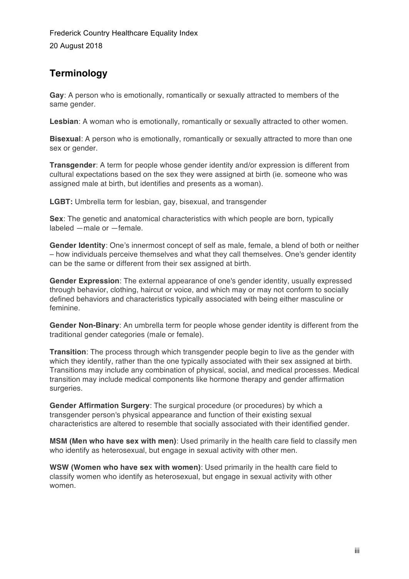### **Terminology**

**Gay**: A person who is emotionally, romantically or sexually attracted to members of the same gender.

**Lesbian**: A woman who is emotionally, romantically or sexually attracted to other women.

**Bisexual**: A person who is emotionally, romantically or sexually attracted to more than one sex or gender.

**Transgender**: A term for people whose gender identity and/or expression is different from cultural expectations based on the sex they were assigned at birth (ie. someone who was assigned male at birth, but identifies and presents as a woman).

**LGBT:** Umbrella term for lesbian, gay, bisexual, and transgender

**Sex**: The genetic and anatomical characteristics with which people are born, typically labeled ―male or ―female.

**Gender Identity**: One's innermost concept of self as male, female, a blend of both or neither – how individuals perceive themselves and what they call themselves. One's gender identity can be the same or different from their sex assigned at birth.

**Gender Expression**: The external appearance of one's gender identity, usually expressed through behavior, clothing, haircut or voice, and which may or may not conform to socially defined behaviors and characteristics typically associated with being either masculine or feminine.

**Gender Non-Binary**: An umbrella term for people whose gender identity is different from the traditional gender categories (male or female).

**Transition**: The process through which transgender people begin to live as the gender with which they identify, rather than the one typically associated with their sex assigned at birth. Transitions may include any combination of physical, social, and medical processes. Medical transition may include medical components like hormone therapy and gender affirmation surgeries.

**Gender Affirmation Surgery**: The surgical procedure (or procedures) by which a transgender person's physical appearance and function of their existing sexual characteristics are altered to resemble that socially associated with their identified gender.

**MSM (Men who have sex with men)**: Used primarily in the health care field to classify men who identify as heterosexual, but engage in sexual activity with other men.

**WSW (Women who have sex with women)**: Used primarily in the health care field to classify women who identify as heterosexual, but engage in sexual activity with other women.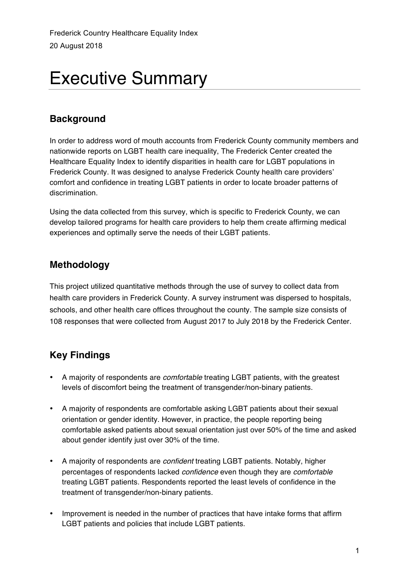# Executive Summary

### **Background**

In order to address word of mouth accounts from Frederick County community members and nationwide reports on LGBT health care inequality, The Frederick Center created the Healthcare Equality Index to identify disparities in health care for LGBT populations in Frederick County. It was designed to analyse Frederick County health care providers' comfort and confidence in treating LGBT patients in order to locate broader patterns of discrimination.

Using the data collected from this survey, which is specific to Frederick County, we can develop tailored programs for health care providers to help them create affirming medical experiences and optimally serve the needs of their LGBT patients.

# **Methodology**

This project utilized quantitative methods through the use of survey to collect data from health care providers in Frederick County. A survey instrument was dispersed to hospitals, schools, and other health care offices throughout the county. The sample size consists of 108 responses that were collected from August 2017 to July 2018 by the Frederick Center.

# **Key Findings**

- A majority of respondents are *comfortable* treating LGBT patients, with the greatest levels of discomfort being the treatment of transgender/non-binary patients.
- A majority of respondents are comfortable asking LGBT patients about their sexual orientation or gender identity. However, in practice, the people reporting being comfortable asked patients about sexual orientation just over 50% of the time and asked about gender identify just over 30% of the time.
- A majority of respondents are *confident* treating LGBT patients. Notably, higher percentages of respondents lacked *confidence* even though they are *comfortable* treating LGBT patients. Respondents reported the least levels of confidence in the treatment of transgender/non-binary patients.
- Improvement is needed in the number of practices that have intake forms that affirm LGBT patients and policies that include LGBT patients.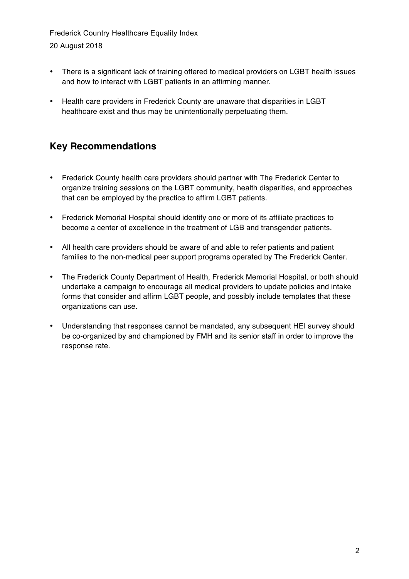- There is a significant lack of training offered to medical providers on LGBT health issues and how to interact with LGBT patients in an affirming manner.
- Health care providers in Frederick County are unaware that disparities in LGBT healthcare exist and thus may be unintentionally perpetuating them.

### **Key Recommendations**

- Frederick County health care providers should partner with The Frederick Center to organize training sessions on the LGBT community, health disparities, and approaches that can be employed by the practice to affirm LGBT patients.
- Frederick Memorial Hospital should identify one or more of its affiliate practices to become a center of excellence in the treatment of LGB and transgender patients.
- All health care providers should be aware of and able to refer patients and patient families to the non-medical peer support programs operated by The Frederick Center.
- The Frederick County Department of Health, Frederick Memorial Hospital, or both should undertake a campaign to encourage all medical providers to update policies and intake forms that consider and affirm LGBT people, and possibly include templates that these organizations can use.
- Understanding that responses cannot be mandated, any subsequent HEI survey should be co-organized by and championed by FMH and its senior staff in order to improve the response rate.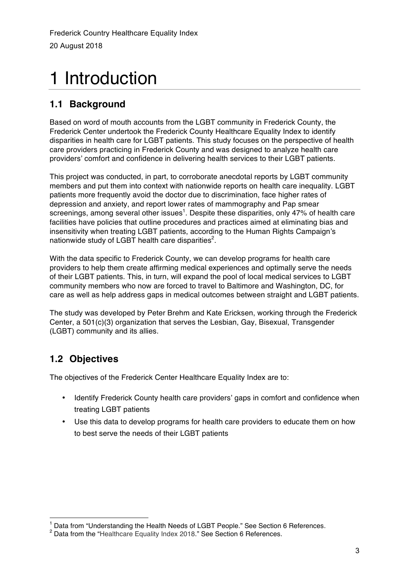# 1 Introduction

### **1.1 Background**

Based on word of mouth accounts from the LGBT community in Frederick County, the Frederick Center undertook the Frederick County Healthcare Equality Index to identify disparities in health care for LGBT patients. This study focuses on the perspective of health care providers practicing in Frederick County and was designed to analyze health care providers' comfort and confidence in delivering health services to their LGBT patients.

This project was conducted, in part, to corroborate anecdotal reports by LGBT community members and put them into context with nationwide reports on health care inequality. LGBT patients more frequently avoid the doctor due to discrimination, face higher rates of depression and anxiety, and report lower rates of mammography and Pap smear screenings, among several other issues<sup>1</sup>. Despite these disparities, only 47% of health care facilities have policies that outline procedures and practices aimed at eliminating bias and insensitivity when treating LGBT patients, according to the Human Rights Campaign's nationwide study of LGBT health care disparities $^2$ .

With the data specific to Frederick County, we can develop programs for health care providers to help them create affirming medical experiences and optimally serve the needs of their LGBT patients. This, in turn, will expand the pool of local medical services to LGBT community members who now are forced to travel to Baltimore and Washington, DC, for care as well as help address gaps in medical outcomes between straight and LGBT patients.

The study was developed by Peter Brehm and Kate Ericksen, working through the Frederick Center, a 501(c)(3) organization that serves the Lesbian, Gay, Bisexual, Transgender (LGBT) community and its allies.

# **1.2 Objectives**

The objectives of the Frederick Center Healthcare Equality Index are to:

- Identify Frederick County health care providers' gaps in comfort and confidence when treating LGBT patients
- Use this data to develop programs for health care providers to educate them on how to best serve the needs of their LGBT patients

 $^1$  Data from "Understanding the Health Needs of LGBT People." See Section 6 References.<br><sup>2</sup> Data from the "Healthcare Equality Index 2018." See Section 6 References.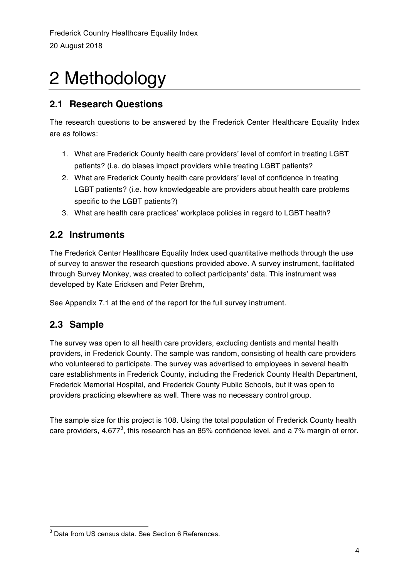# 2 Methodology

### **2.1 Research Questions**

The research questions to be answered by the Frederick Center Healthcare Equality Index are as follows:

- 1. What are Frederick County health care providers' level of comfort in treating LGBT patients? (i.e. do biases impact providers while treating LGBT patients?
- 2. What are Frederick County health care providers' level of confidence in treating LGBT patients? (i.e. how knowledgeable are providers about health care problems specific to the LGBT patients?)
- 3. What are health care practices' workplace policies in regard to LGBT health?

# **2.2 Instruments**

The Frederick Center Healthcare Equality Index used quantitative methods through the use of survey to answer the research questions provided above. A survey instrument, facilitated through Survey Monkey, was created to collect participants' data. This instrument was developed by Kate Ericksen and Peter Brehm,

See Appendix 7.1 at the end of the report for the full survey instrument.

# **2.3 Sample**

The survey was open to all health care providers, excluding dentists and mental health providers, in Frederick County. The sample was random, consisting of health care providers who volunteered to participate. The survey was advertised to employees in several health care establishments in Frederick County, including the Frederick County Health Department, Frederick Memorial Hospital, and Frederick County Public Schools, but it was open to providers practicing elsewhere as well. There was no necessary control group.

The sample size for this project is 108. Using the total population of Frederick County health care providers, 4,677<sup>3</sup>, this research has an 85% confidence level, and a 7% margin of error.

<sup>&</sup>lt;sup>3</sup> Data from US census data. See Section 6 References.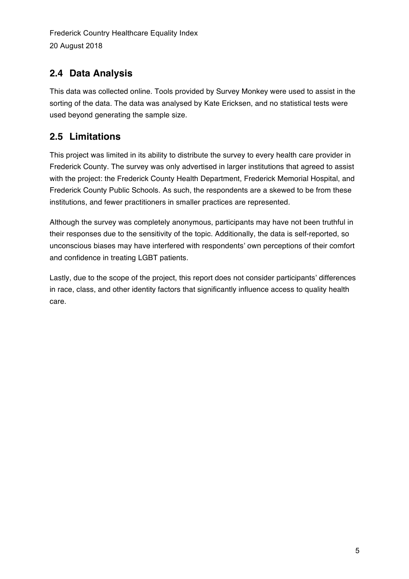# **2.4 Data Analysis**

This data was collected online. Tools provided by Survey Monkey were used to assist in the sorting of the data. The data was analysed by Kate Ericksen, and no statistical tests were used beyond generating the sample size.

# **2.5 Limitations**

This project was limited in its ability to distribute the survey to every health care provider in Frederick County. The survey was only advertised in larger institutions that agreed to assist with the project: the Frederick County Health Department, Frederick Memorial Hospital, and Frederick County Public Schools. As such, the respondents are a skewed to be from these institutions, and fewer practitioners in smaller practices are represented.

Although the survey was completely anonymous, participants may have not been truthful in their responses due to the sensitivity of the topic. Additionally, the data is self-reported, so unconscious biases may have interfered with respondents' own perceptions of their comfort and confidence in treating LGBT patients.

Lastly, due to the scope of the project, this report does not consider participants' differences in race, class, and other identity factors that significantly influence access to quality health care.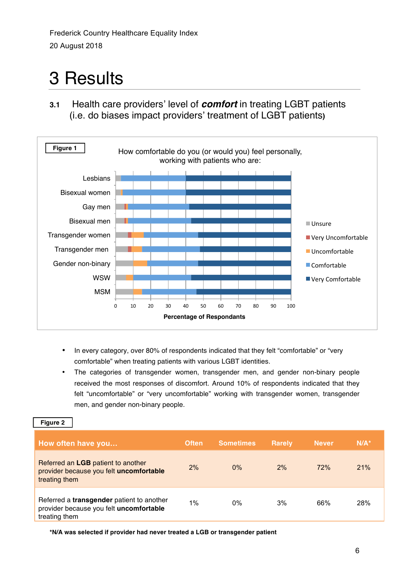# 3 Results

**3.1** Health care providers' level of *comfort* in treating LGBT patients (i.e. do biases impact providers' treatment of LGBT patients**)**



- In every category, over 80% of respondents indicated that they felt "comfortable" or "very comfortable" when treating patients with various LGBT identities.
- The categories of transgender women, transgender men, and gender non-binary people received the most responses of discomfort. Around 10% of respondents indicated that they felt "uncomfortable" or "very uncomfortable" working with transgender women, transgender men, and gender non-binary people.

#### **Figure 2**

| How often have you                                                                                    | <b>Often</b> | <b>Sometimes</b> | <b>Rarely</b> | <b>Never</b> | $N/A^*$ |
|-------------------------------------------------------------------------------------------------------|--------------|------------------|---------------|--------------|---------|
| Referred an LGB patient to another<br>provider because you felt uncomfortable<br>treating them        | 2%           | $0\%$            | 2%            | 72%          | 21%     |
| Referred a transgender patient to another<br>provider because you felt uncomfortable<br>treating them | 1%           | 0%               | 3%            | 66%          | 28%     |

**\*N/A was selected if provider had never treated a LGB or transgender patient**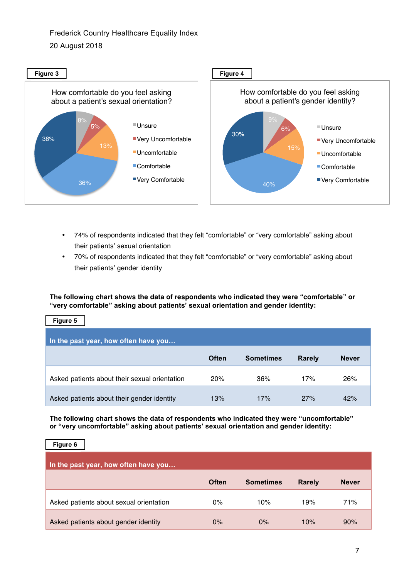

- 74% of respondents indicated that they felt "comfortable" or "very comfortable" asking about their patients' sexual orientation
- 70% of respondents indicated that they felt "comfortable" or "very comfortable" asking about their patients' gender identity

**The following chart shows the data of respondents who indicated they were "comfortable" or "very comfortable" asking about patients' sexual orientation and gender identity:**

| Figure 5                                      |              |                  |               |              |  |  |  |
|-----------------------------------------------|--------------|------------------|---------------|--------------|--|--|--|
| In the past year, how often have you          |              |                  |               |              |  |  |  |
|                                               | <b>Often</b> | <b>Sometimes</b> | <b>Rarely</b> | <b>Never</b> |  |  |  |
| Asked patients about their sexual orientation | 20%          | 36%              | 17%           | 26%          |  |  |  |
| Asked patients about their gender identity    | 13%          | 17%              | 27%           | 42%          |  |  |  |

**The following chart shows the data of respondents who indicated they were "uncomfortable" or "very uncomfortable" asking about patients' sexual orientation and gender identity:**

| Figure 6                                |              |                  |               |              |  |  |  |  |
|-----------------------------------------|--------------|------------------|---------------|--------------|--|--|--|--|
| In the past year, how often have you    |              |                  |               |              |  |  |  |  |
|                                         | <b>Often</b> | <b>Sometimes</b> | <b>Rarely</b> | <b>Never</b> |  |  |  |  |
| Asked patients about sexual orientation | $0\%$        | 10%              | 19%           | 71%          |  |  |  |  |
| Asked patients about gender identity    | $0\%$        | $0\%$            | 10%           | 90%          |  |  |  |  |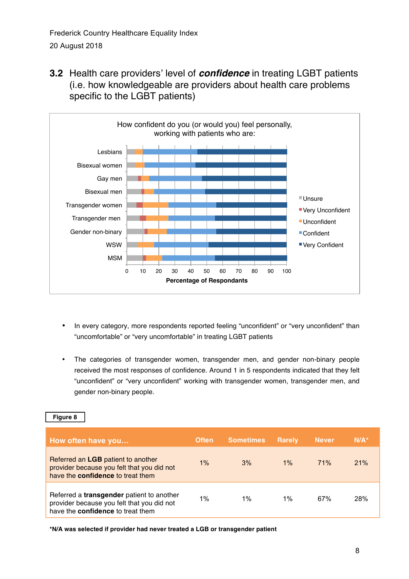**3.2** Health care providers' level of *confidence* in treating LGBT patients (i.e. how knowledgeable are providers about health care problems specific to the LGBT patients)



- In every category, more respondents reported feeling "unconfident" or "very unconfident" than "uncomfortable" or "very uncomfortable" in treating LGBT patients
- The categories of transgender women, transgender men, and gender non-binary people received the most responses of confidence. Around 1 in 5 respondents indicated that they felt "unconfident" or "very unconfident" working with transgender women, transgender men, and gender non-binary people.

| How often have you                                                                                                                  | <b>Often</b> | <b>Sometimes</b> | <b>Rarely</b> | <b>Never</b> | $N/A^*$ |
|-------------------------------------------------------------------------------------------------------------------------------------|--------------|------------------|---------------|--------------|---------|
| Referred an LGB patient to another<br>provider because you felt that you did not<br>have the <b>confidence</b> to treat them        | $1\%$        | 3%               | $1\%$         | 71%          | 21%     |
| Referred a transgender patient to another<br>provider because you felt that you did not<br>have the <b>confidence</b> to treat them | $1\%$        | $1\%$            | $1\%$         | 67%          | 28%     |

**\*N/A was selected if provider had never treated a LGB or transgender patient**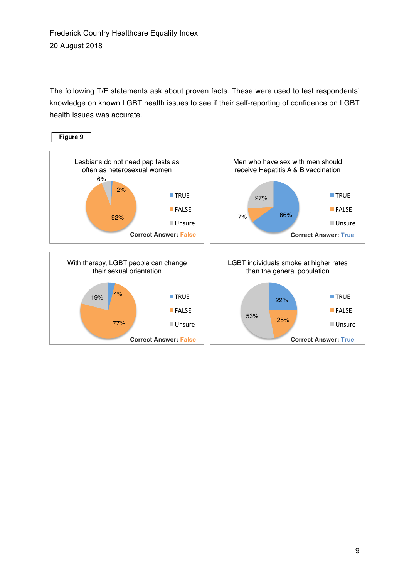The following T/F statements ask about proven facts. These were used to test respondents' knowledge on known LGBT health issues to see if their self-reporting of confidence on LGBT health issues was accurate.

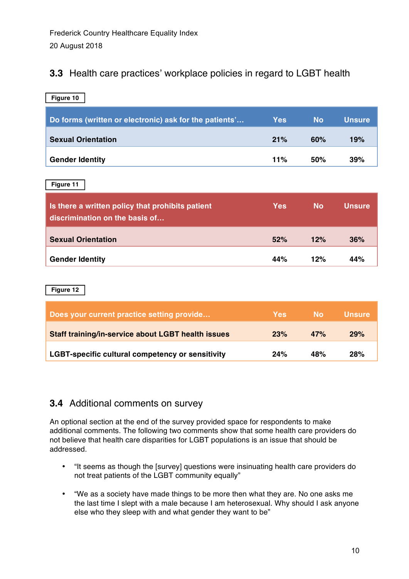### **3.3** Health care practices' workplace policies in regard to LGBT health

| Figure 10                                              |            |           |               |
|--------------------------------------------------------|------------|-----------|---------------|
| Do forms (written or electronic) ask for the patients' | <b>Yes</b> | <b>No</b> | <b>Unsure</b> |
| <b>Sexual Orientation</b>                              | 21%        | 60%       | 19%           |
| <b>Gender Identity</b>                                 | 11%        | 50%       | 39%           |

**Figure 11**

| Is there a written policy that prohibits patient<br>discrimination on the basis of | <b>Yes</b> | <b>No</b> | <b>Unsure</b> |
|------------------------------------------------------------------------------------|------------|-----------|---------------|
| <b>Sexual Orientation</b>                                                          | 52%        | 12%       | 36%           |
| <b>Gender Identity</b>                                                             | 44%        | 12%       | 44%           |

**Figure 12**

| Does your current practice setting provide                | <b>Yes</b> | No. | <b>Unsure</b> |
|-----------------------------------------------------------|------------|-----|---------------|
| <b>Staff training/in-service about LGBT health issues</b> | 23%        | 47% | 29%           |
| <b>LGBT-specific cultural competency or sensitivity</b>   | 24%        | 48% | 28%           |

### **3.4** Additional comments on survey

An optional section at the end of the survey provided space for respondents to make additional comments. The following two comments show that some health care providers do not believe that health care disparities for LGBT populations is an issue that should be addressed.

- "It seems as though the [survey] questions were insinuating health care providers do not treat patients of the LGBT community equally"
- "We as a society have made things to be more then what they are. No one asks me the last time I slept with a male because I am heterosexual. Why should I ask anyone else who they sleep with and what gender they want to be"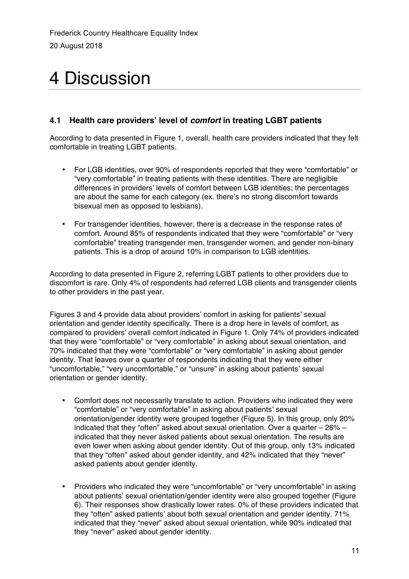# 4 Discussion

#### **4.1 Health care providers' level of** *comfort* **in treating LGBT patients**

According to data presented in Figure 1, overall, health care providers indicated that they felt comfortable in treating LGBT patients.

- For LGB identities, over 90% of respondents reported that they were "comfortable" or "very comfortable" in treating patients with these identities. There are negligible differences in providers' levels of comfort between LGB identities; the percentages are about the same for each category (ex. there's no strong discomfort towards bisexual men as opposed to lesbians).
- For transgender identities, however, there is a decrease in the response rates of comfort. Around 85% of respondents indicated that they were "comfortable" or "very comfortable" treating transgender men, transgender women, and gender non-binary patients. This is a drop of around 10% in comparison to LGB identities.

According to data presented in Figure 2, referring LGBT patients to other providers due to discomfort is rare. Only 4% of respondents had referred LGB clients and transgender clients to other providers in the past year.

Figures 3 and 4 provide data about providers' comfort in asking for patients' sexual orientation and gender identity specifically. There is a drop here in levels of comfort, as compared to providers' overall comfort indicated in Figure 1. Only 74% of providers indicated that they were "comfortable" or "very comfortable" in asking about sexual orientation, and 70% indicated that they were "comfortable" or "very comfortable" in asking about gender identity. That leaves over a quarter of respondents indicating that they were either "uncomfortable," "very uncomfortable," or "unsure" in asking about patients' sexual orientation or gender identity.

- Comfort does not necessarily translate to action. Providers who indicated they were "comfortable" or "very comfortable" in asking about patients' sexual orientation/gender identity were grouped together (Figure 5). In this group, only 20% indicated that they "often" asked about sexual orientation. Over a quarter – 26% – indicated that they never asked patients about sexual orientation. The results are even lower when asking about gender identity. Out of this group, only 13% indicated that they "often" asked about gender identity, and 42% indicated that they "never" asked patients about gender identity.
- Providers who indicated they were "uncomfortable" or "very uncomfortable" in asking about patients' sexual orientation/gender identity were also grouped together (Figure 6). Their responses show drastically lower rates. 0% of these providers indicated that they "often" asked patients' about both sexual orientation and gender identity. 71% indicated that they "never" asked about sexual orientation, while 90% indicated that they "never" asked about gender identity.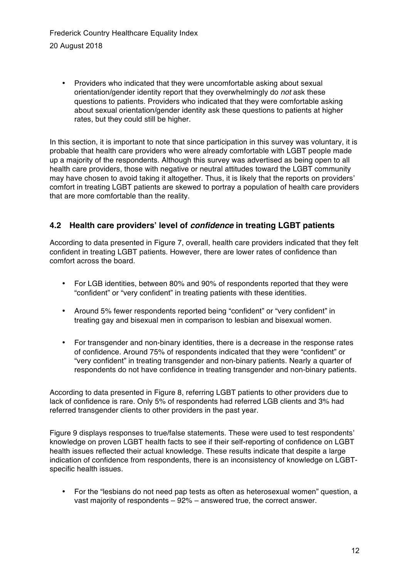• Providers who indicated that they were uncomfortable asking about sexual orientation/gender identity report that they overwhelmingly do *not* ask these questions to patients. Providers who indicated that they were comfortable asking about sexual orientation/gender identity ask these questions to patients at higher rates, but they could still be higher.

In this section, it is important to note that since participation in this survey was voluntary, it is probable that health care providers who were already comfortable with LGBT people made up a majority of the respondents. Although this survey was advertised as being open to all health care providers, those with negative or neutral attitudes toward the LGBT community may have chosen to avoid taking it altogether. Thus, it is likely that the reports on providers' comfort in treating LGBT patients are skewed to portray a population of health care providers that are more comfortable than the reality.

#### **4.2 Health care providers' level of** *confidence* **in treating LGBT patients**

According to data presented in Figure 7, overall, health care providers indicated that they felt confident in treating LGBT patients. However, there are lower rates of confidence than comfort across the board.

- For LGB identities, between 80% and 90% of respondents reported that they were "confident" or "very confident" in treating patients with these identities.
- Around 5% fewer respondents reported being "confident" or "very confident" in treating gay and bisexual men in comparison to lesbian and bisexual women.
- For transgender and non-binary identities, there is a decrease in the response rates of confidence. Around 75% of respondents indicated that they were "confident" or "very confident" in treating transgender and non-binary patients. Nearly a quarter of respondents do not have confidence in treating transgender and non-binary patients.

According to data presented in Figure 8, referring LGBT patients to other providers due to lack of confidence is rare. Only 5% of respondents had referred LGB clients and 3% had referred transgender clients to other providers in the past year.

Figure 9 displays responses to true/false statements. These were used to test respondents' knowledge on proven LGBT health facts to see if their self-reporting of confidence on LGBT health issues reflected their actual knowledge. These results indicate that despite a large indication of confidence from respondents, there is an inconsistency of knowledge on LGBTspecific health issues.

• For the "lesbians do not need pap tests as often as heterosexual women" question, a vast majority of respondents – 92% – answered true, the correct answer.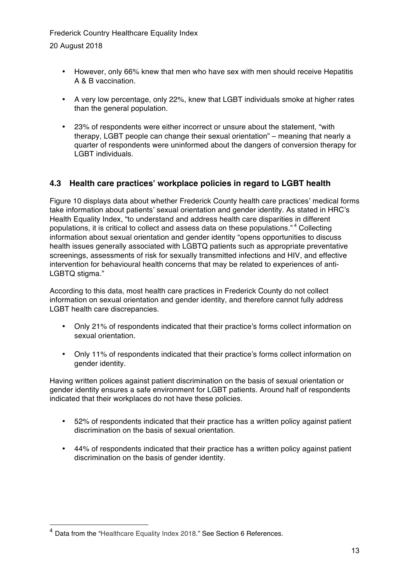- However, only 66% knew that men who have sex with men should receive Hepatitis A & B vaccination.
- A very low percentage, only 22%, knew that LGBT individuals smoke at higher rates than the general population.
- 23% of respondents were either incorrect or unsure about the statement, "with therapy, LGBT people can change their sexual orientation" – meaning that nearly a quarter of respondents were uninformed about the dangers of conversion therapy for LGBT individuals.

#### **4.3 Health care practices' workplace policies in regard to LGBT health**

Figure 10 displays data about whether Frederick County health care practices' medical forms take information about patients' sexual orientation and gender identity. As stated in HRC's Health Equality Index, "to understand and address health care disparities in different populations, it is critical to collect and assess data on these populations." <sup>4</sup> Collecting information about sexual orientation and gender identity "opens opportunities to discuss health issues generally associated with LGBTQ patients such as appropriate preventative screenings, assessments of risk for sexually transmitted infections and HIV, and effective intervention for behavioural health concerns that may be related to experiences of anti-LGBTQ stigma."

According to this data, most health care practices in Frederick County do not collect information on sexual orientation and gender identity, and therefore cannot fully address LGBT health care discrepancies.

- Only 21% of respondents indicated that their practice's forms collect information on sexual orientation.
- Only 11% of respondents indicated that their practice's forms collect information on gender identity.

Having written polices against patient discrimination on the basis of sexual orientation or gender identity ensures a safe environment for LGBT patients. Around half of respondents indicated that their workplaces do not have these policies.

- 52% of respondents indicated that their practice has a written policy against patient discrimination on the basis of sexual orientation.
- 44% of respondents indicated that their practice has a written policy against patient discrimination on the basis of gender identity.

 <sup>4</sup> Data from the "Healthcare Equality Index 2018." See Section 6 References.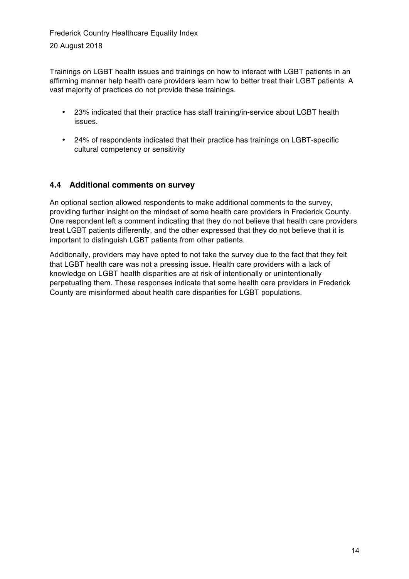Trainings on LGBT health issues and trainings on how to interact with LGBT patients in an affirming manner help health care providers learn how to better treat their LGBT patients. A vast majority of practices do not provide these trainings.

- 23% indicated that their practice has staff training/in-service about LGBT health issues.
- 24% of respondents indicated that their practice has trainings on LGBT-specific cultural competency or sensitivity

#### **4.4 Additional comments on survey**

An optional section allowed respondents to make additional comments to the survey, providing further insight on the mindset of some health care providers in Frederick County. One respondent left a comment indicating that they do not believe that health care providers treat LGBT patients differently, and the other expressed that they do not believe that it is important to distinguish LGBT patients from other patients.

Additionally, providers may have opted to not take the survey due to the fact that they felt that LGBT health care was not a pressing issue. Health care providers with a lack of knowledge on LGBT health disparities are at risk of intentionally or unintentionally perpetuating them. These responses indicate that some health care providers in Frederick County are misinformed about health care disparities for LGBT populations.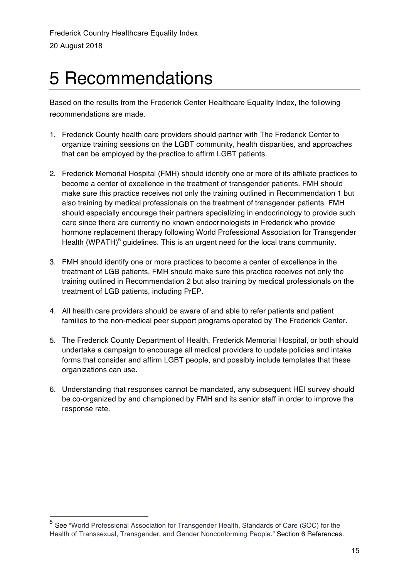# 5 Recommendations

Based on the results from the Frederick Center Healthcare Equality Index, the following recommendations are made.

- 1. Frederick County health care providers should partner with The Frederick Center to organize training sessions on the LGBT community, health disparities, and approaches that can be employed by the practice to affirm LGBT patients.
- 2. Frederick Memorial Hospital (FMH) should identify one or more of its affiliate practices to become a center of excellence in the treatment of transgender patients. FMH should make sure this practice receives not only the training outlined in Recommendation 1 but also training by medical professionals on the treatment of transgender patients. FMH should especially encourage their partners specializing in endocrinology to provide such care since there are currently no known endocrinologists in Frederick who provide hormone replacement therapy following World Professional Association for Transgender Health (WPATH)<sup>5</sup> guidelines. This is an urgent need for the local trans community.
- 3. FMH should identify one or more practices to become a center of excellence in the treatment of LGB patients. FMH should make sure this practice receives not only the training outlined in Recommendation 2 but also training by medical professionals on the treatment of LGB patients, including PrEP.
- 4. All health care providers should be aware of and able to refer patients and patient families to the non-medical peer support programs operated by The Frederick Center.
- 5. The Frederick County Department of Health, Frederick Memorial Hospital, or both should undertake a campaign to encourage all medical providers to update policies and intake forms that consider and affirm LGBT people, and possibly include templates that these organizations can use.
- 6. Understanding that responses cannot be mandated, any subsequent HEI survey should be co-organized by and championed by FMH and its senior staff in order to improve the response rate.

 <sup>5</sup> See "World Professional Association for Transgender Health, Standards of Care (SOC) for the Health of Transsexual, Transgender, and Gender Nonconforming People." Section 6 References.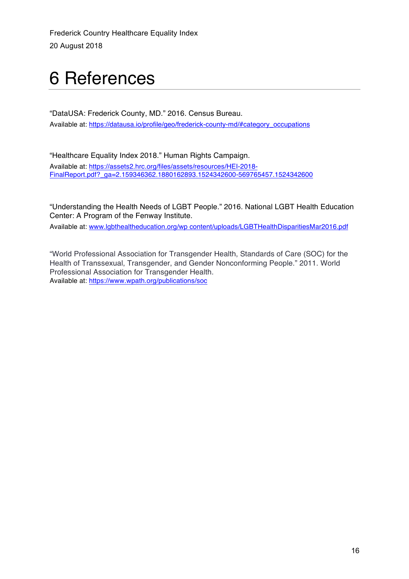# 6 References

"DataUSA: Frederick County, MD." 2016. Census Bureau. Available at: https://datausa.io/profile/geo/frederick-county-md/#category\_occupations

"Healthcare Equality Index 2018." Human Rights Campaign. Available at: https://assets2.hrc.org/files/assets/resources/HEI-2018- FinalReport.pdf?\_ga=2.159346362.1880162893.1524342600-569765457.1524342600

"Understanding the Health Needs of LGBT People." 2016. National LGBT Health Education Center: A Program of the Fenway Institute.

Available at: www.lgbthealtheducation.org/wp content/uploads/LGBTHealthDisparitiesMar2016.pdf

"World Professional Association for Transgender Health, Standards of Care (SOC) for the Health of Transsexual, Transgender, and Gender Nonconforming People." 2011. World Professional Association for Transgender Health. Available at: https://www.wpath.org/publications/soc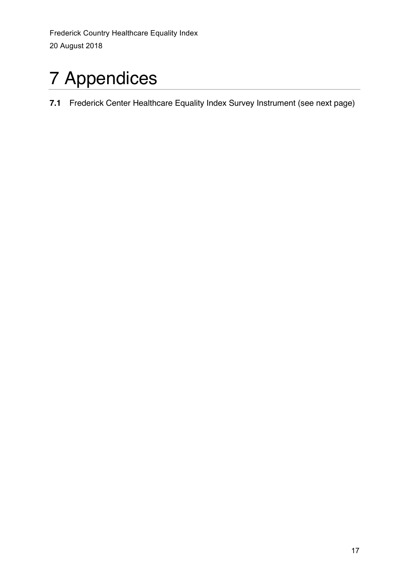# 7 Appendices

**7.1** Frederick Center Healthcare Equality Index Survey Instrument (see next page)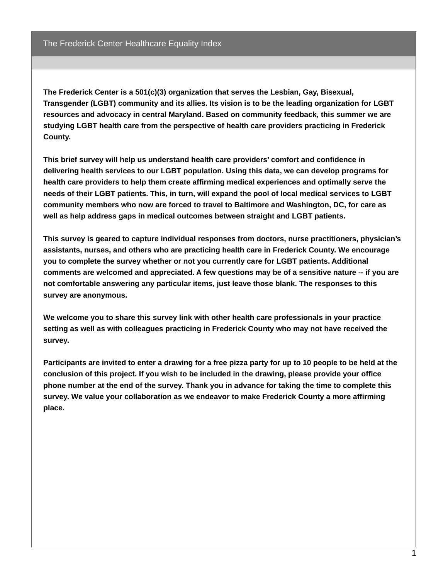**The Frederick Center is a 501(c)(3) organization that serves the Lesbian, Gay, Bisexual, Transgender (LGBT) community and its allies. Its vision is to be the leading organization for LGBT resources and advocacy in central Maryland. Based on community feedback, this summer we are studying LGBT health care from the perspective of health care providers practicing in Frederick County.**

**This brief survey will help us understand health care providers' comfort and confidence in delivering health services to our LGBT population. Using this data, we can develop programs for health care providers to help them create affirming medical experiences and optimally serve the** needs of their LGBT patients. This, in turn, will expand the pool of local medical services to LGBT **community members who now are forced to travel to Baltimore and Washington, DC, for care as well as help address gaps in medical outcomes between straight and LGBT patients.**

**This survey is geared to capture individual responses from doctors, nurse practitioners, physician's assistants, nurses, and others who are practicing health care in Frederick County. We encourage you to complete the survey whether or not you currently care for LGBT patients. Additional comments are welcomed and appreciated. A few questions may be of a sensitive nature -- if you are not comfortable answering any particular items, just leave those blank. The responses to this survey are anonymous.**

**We welcome you to share this survey link with other health care professionals in your practice setting as well as with colleagues practicing in Frederick County who may not have received the survey.**

Participants are invited to enter a drawing for a free pizza party for up to 10 people to be held at the **conclusion of this project. If you wish to be included in the drawing, please provide your office** phone number at the end of the survey. Thank you in advance for taking the time to complete this **survey. We value your collaboration as we endeavor to make Frederick County a more affirming place.**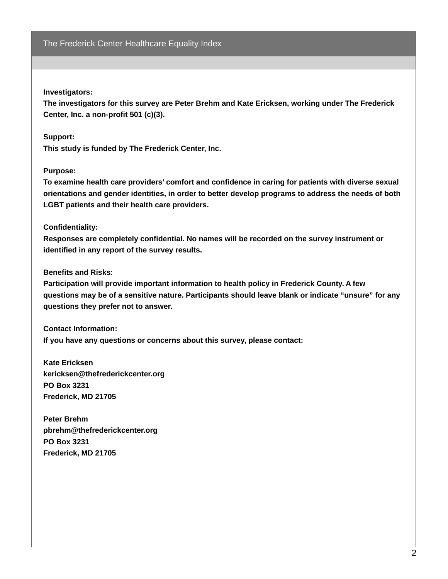#### **Investigators:**

**The investigators for this survey are Peter Brehm and Kate Ericksen, working under The Frederick Center, Inc. a non-profit 501 (c)(3).**

#### **Support:**

**This study is funded by The Frederick Center, Inc.**

#### **Purpose:**

**To examine health care providers' comfort and confidence in caring for patients with diverse sexual orientations and gender identities, in order to better develop programs to address the needs of both LGBT patients and their health care providers.**

#### **Confidentiality:**

**Responses are completely confidential. No names will be recorded on the survey instrument or identified in any report of the survey results.**

#### **Benefits and Risks:**

**Participation will provide important information to health policy in Frederick County. A few questions may be of a sensitive nature. Participants should leave blank or indicate "unsure" for any questions they prefer not to answer.**

**Contact Information: If you have any questions or concerns about this survey, please contact:**

**Kate Ericksen kericksen@thefrederickcenter.org PO Box 3231 Frederick, MD 21705**

**Peter Brehm pbrehm@thefrederickcenter.org PO Box 3231 Frederick, MD 21705**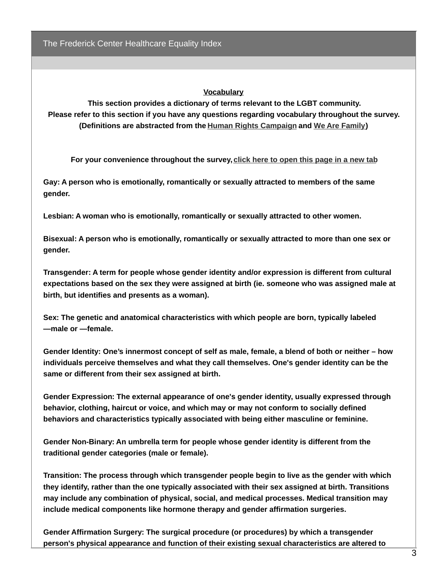#### **Vocabulary**

**This section provides a dictionary of terms relevant to the LGBT community. Please refer to this section if you have any questions regarding vocabulary throughout the survey. (Definitions are abstracted from the Human Rights [Campaign](http://www.hrc.org/resources/glossary-of-terms) and We Are [Family](http://www.wearefamilycharleston.org/ lgbt-a-z-glossary/))**

**For your convenience throughout the survey, click here to [open](https://docs.google.com/document/d/1wiVZq4ORIE0jn14tK7igNlIDiDvSdyI0rp7_ssNa5qc/edit?usp=sharing) this page in a new tab**

**Gay: A person who is emotionally, romantically or sexually attracted to members of the same gender.**

**Lesbian: A woman who is emotionally, romantically or sexually attracted to other women.**

**Bisexual: A person who is emotionally, romantically or sexually attracted to more than one sex or gender.**

**Transgender: A term for people whose gender identity and/or expression is different from cultural expectations based on the sex they were assigned at birth (ie. someone who was assigned male at birth, but identifies and presents as a woman).**

**Sex: The genetic and anatomical characteristics with which people are born, typically labeled ―male or ―female.**

**Gender Identity: One's innermost concept of self as male, female, a blend of both or neither – how individuals perceive themselves and what they call themselves. One's gender identity can be the same or different from their sex assigned at birth.**

**Gender Expression: The external appearance of one's gender identity, usually expressed through behavior, clothing, haircut or voice, and which may or may not conform to socially defined behaviors and characteristics typically associated with being either masculine or feminine.**

**Gender Non-Binary: An umbrella term for people whose gender identity is different from the traditional gender categories (male or female).**

**Transition: The process through which transgender people begin to live as the gender with which they identify, rather than the one typically associated with their sex assigned at birth. Transitions may include any combination of physical, social, and medical processes. Medical transition may include medical components like hormone therapy and gender affirmation surgeries.**

**Gender Affirmation Surgery: The surgical procedure (or procedures) by which a transgender person's physical appearance and function of their existing sexual characteristics are altered to**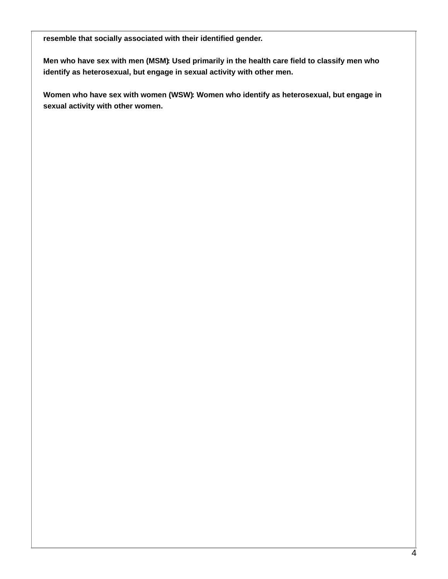**resemble that socially associated with their identified gender.**

**Men who have sex with men (MSM): Used primarily in the health care field to classify men who identify as heterosexual, but engage in sexual activity with other men.**

**Women who have sex with women (WSW): Women who identify as heterosexual, but engage in sexual activity with other women.**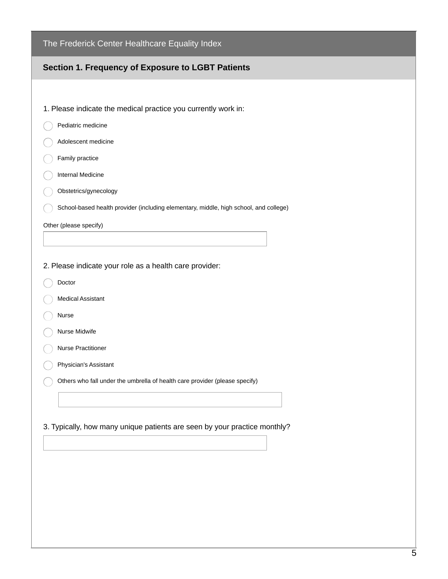| The Frederick Center Healthcare Equality Index                                        |  |  |  |
|---------------------------------------------------------------------------------------|--|--|--|
| Section 1. Frequency of Exposure to LGBT Patients                                     |  |  |  |
|                                                                                       |  |  |  |
| 1. Please indicate the medical practice you currently work in:                        |  |  |  |
| Pediatric medicine                                                                    |  |  |  |
| Adolescent medicine                                                                   |  |  |  |
| Family practice                                                                       |  |  |  |
| Internal Medicine                                                                     |  |  |  |
| Obstetrics/gynecology                                                                 |  |  |  |
| School-based health provider (including elementary, middle, high school, and college) |  |  |  |
| Other (please specify)                                                                |  |  |  |
|                                                                                       |  |  |  |
| 2. Please indicate your role as a health care provider:                               |  |  |  |
| Doctor                                                                                |  |  |  |
| <b>Medical Assistant</b>                                                              |  |  |  |
| Nurse                                                                                 |  |  |  |
| Nurse Midwife                                                                         |  |  |  |
| <b>Nurse Practitioner</b>                                                             |  |  |  |
| Physician's Assistant                                                                 |  |  |  |
| Others who fall under the umbrella of health care provider (please specify)           |  |  |  |
|                                                                                       |  |  |  |
|                                                                                       |  |  |  |
| 3. Typically, how many unique patients are seen by your practice monthly?             |  |  |  |
|                                                                                       |  |  |  |
|                                                                                       |  |  |  |
|                                                                                       |  |  |  |
|                                                                                       |  |  |  |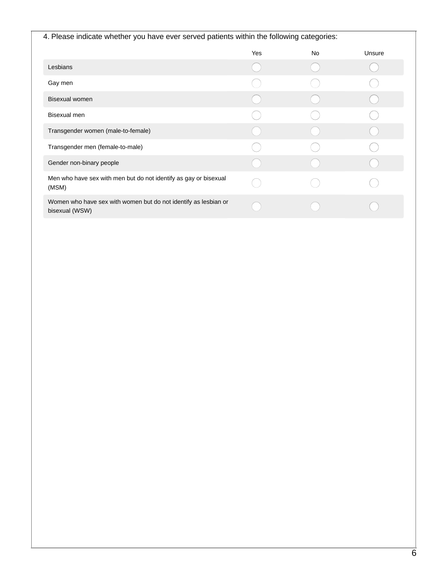| 4. Please indicate whether you have ever served patients within the following categories: |            |    |        |  |  |
|-------------------------------------------------------------------------------------------|------------|----|--------|--|--|
|                                                                                           | <b>Yes</b> | No | Unsure |  |  |
| Lesbians                                                                                  |            |    |        |  |  |
| Gay men                                                                                   |            |    |        |  |  |
| <b>Bisexual women</b>                                                                     |            |    |        |  |  |
| Bisexual men                                                                              |            |    |        |  |  |
| Transgender women (male-to-female)                                                        |            |    |        |  |  |
| Transgender men (female-to-male)                                                          |            |    |        |  |  |
| Gender non-binary people                                                                  |            |    |        |  |  |
| Men who have sex with men but do not identify as gay or bisexual<br>(MSM)                 |            |    |        |  |  |
| Women who have sex with women but do not identify as lesbian or<br>bisexual (WSW)         |            |    |        |  |  |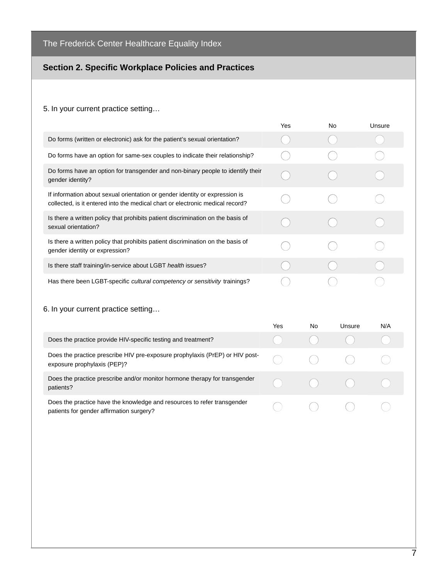#### **Section 2. Specific Workplace Policies and Practices**

#### 5. In your current practice setting…

|                                                                                                                                                              | Yes |           | <b>No</b> | Unsure |
|--------------------------------------------------------------------------------------------------------------------------------------------------------------|-----|-----------|-----------|--------|
| Do forms (written or electronic) ask for the patient's sexual orientation?                                                                                   |     |           |           |        |
| Do forms have an option for same-sex couples to indicate their relationship?                                                                                 |     |           |           |        |
| Do forms have an option for transgender and non-binary people to identify their<br>gender identity?                                                          |     |           |           |        |
| If information about sexual orientation or gender identity or expression is<br>collected, is it entered into the medical chart or electronic medical record? |     |           |           |        |
| Is there a written policy that prohibits patient discrimination on the basis of<br>sexual orientation?                                                       |     |           |           |        |
| Is there a written policy that prohibits patient discrimination on the basis of<br>gender identity or expression?                                            |     |           |           |        |
| Is there staff training/in-service about LGBT health issues?                                                                                                 |     |           |           |        |
| Has there been LGBT-specific cultural competency or sensitivity trainings?                                                                                   |     |           |           |        |
| 6. In your current practice setting                                                                                                                          |     |           |           |        |
|                                                                                                                                                              | Yes | <b>No</b> | Unsure    | N/A    |
| Does the practice provide HIV-specific testing and treatment?                                                                                                |     |           |           |        |
| Does the practice prescribe HIV pre-exposure prophylaxis (PrEP) or HIV post-<br>exposure prophylaxis (PEP)?                                                  |     |           |           |        |
| Does the practice prescribe and/or monitor hormone therapy for transgender<br>patients?                                                                      |     |           |           |        |

 $\bigcirc$ 

 $\bigcirc$ 

 $\bigcirc$ 

Does the practice have the knowledge and resources to refer transgender patients for gender affirmation surgery?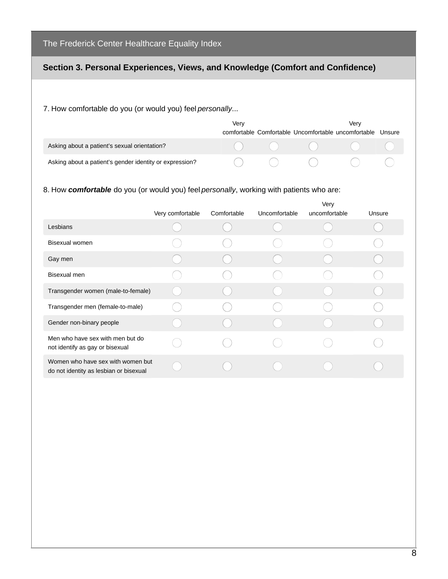#### **Section 3. Personal Experiences, Views, and Knowledge (Comfort and Confidence)**

7. How comfortable do you (or would you) feel *personally*...

|                                                         | Very |  | Verv<br>comfortable Comfortable Uncomfortable uncomfortable                                                                           | Unsure |
|---------------------------------------------------------|------|--|---------------------------------------------------------------------------------------------------------------------------------------|--------|
| Asking about a patient's sexual orientation?            |      |  | $\begin{pmatrix} 1 & 1 & 1 \\ 1 & 1 & 1 \\ 1 & 1 & 1 \end{pmatrix} \begin{pmatrix} 1 & 1 & 1 \\ 1 & 1 & 1 \\ 1 & 1 & 1 \end{pmatrix}$ |        |
| Asking about a patient's gender identity or expression? |      |  |                                                                                                                                       |        |

#### 8. How *comfortable* do you (or would you) feel *personally*, working with patients who are:

|                                                                             |                  |             |               | Very          |        |
|-----------------------------------------------------------------------------|------------------|-------------|---------------|---------------|--------|
|                                                                             | Very comfortable | Comfortable | Uncomfortable | uncomfortable | Unsure |
| Lesbians                                                                    |                  |             |               |               |        |
| <b>Bisexual women</b>                                                       |                  |             |               |               |        |
| Gay men                                                                     |                  |             |               |               |        |
| Bisexual men                                                                |                  |             |               |               |        |
| Transgender women (male-to-female)                                          |                  |             |               |               |        |
| Transgender men (female-to-male)                                            |                  |             |               |               |        |
| Gender non-binary people                                                    |                  |             |               |               |        |
| Men who have sex with men but do<br>not identify as gay or bisexual         |                  |             |               |               |        |
| Women who have sex with women but<br>do not identity as lesbian or bisexual |                  |             |               |               |        |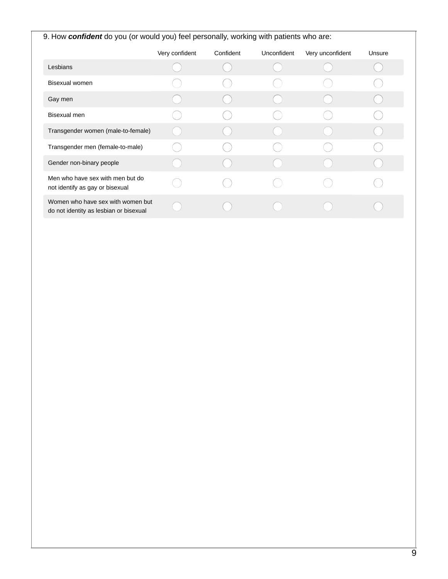| 9. How <b>confident</b> do you (or would you) feel personally, working with patients who are: |                |           |             |                  |        |  |  |
|-----------------------------------------------------------------------------------------------|----------------|-----------|-------------|------------------|--------|--|--|
|                                                                                               | Very confident | Confident | Unconfident | Very unconfident | Unsure |  |  |
| Lesbians                                                                                      |                |           |             |                  |        |  |  |
| <b>Bisexual women</b>                                                                         |                |           |             |                  |        |  |  |
| Gay men                                                                                       |                |           |             |                  |        |  |  |
| Bisexual men                                                                                  |                |           |             |                  |        |  |  |
| Transgender women (male-to-female)                                                            |                |           |             |                  |        |  |  |
| Transgender men (female-to-male)                                                              |                |           |             |                  |        |  |  |
| Gender non-binary people                                                                      |                |           |             |                  |        |  |  |
| Men who have sex with men but do<br>not identify as gay or bisexual                           |                |           |             |                  |        |  |  |
| Women who have sex with women but<br>do not identity as lesbian or bisexual                   |                |           |             |                  |        |  |  |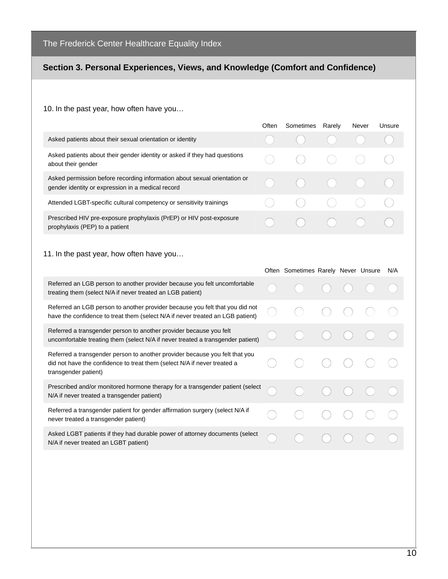#### **Section 3. Personal Experiences, Views, and Knowledge (Comfort and Confidence)**

#### 10. In the past year, how often have you…

|                                                                                                                                | Often | Sometimes | Rarely   | Never | Unsure |
|--------------------------------------------------------------------------------------------------------------------------------|-------|-----------|----------|-------|--------|
| Asked patients about their sexual orientation or identity                                                                      |       |           |          |       |        |
| Asked patients about their gender identity or asked if they had questions<br>about their gender                                |       | $($ )     | (        |       |        |
| Asked permission before recording information about sexual orientation or<br>gender identity or expression in a medical record |       |           | $\left($ |       |        |
| Attended LGBT-specific cultural competency or sensitivity trainings                                                            |       |           |          |       |        |
| Prescribed HIV pre-exposure prophylaxis (PrEP) or HIV post-exposure<br>prophylaxis (PEP) to a patient                          |       |           |          |       |        |

#### 11. In the past year, how often have you…

|                                                                                                                                                                                 | Often Sometimes Rarely Never Unsure |  | N/A |
|---------------------------------------------------------------------------------------------------------------------------------------------------------------------------------|-------------------------------------|--|-----|
| Referred an LGB person to another provider because you felt uncomfortable<br>treating them (select N/A if never treated an LGB patient)                                         |                                     |  |     |
| Referred an LGB person to another provider because you felt that you did not<br>have the confidence to treat them (select N/A if never treated an LGB patient)                  |                                     |  |     |
| Referred a transgender person to another provider because you felt<br>uncomfortable treating them (select N/A if never treated a transgender patient)                           |                                     |  |     |
| Referred a transgender person to another provider because you felt that you<br>did not have the confidence to treat them (select N/A if never treated a<br>transgender patient) |                                     |  |     |
| Prescribed and/or monitored hormone therapy for a transgender patient (select<br>N/A if never treated a transgender patient)                                                    |                                     |  |     |
| Referred a transgender patient for gender affirmation surgery (select N/A if<br>never treated a transgender patient)                                                            |                                     |  |     |
| Asked LGBT patients if they had durable power of attorney documents (select<br>N/A if never treated an LGBT patient)                                                            |                                     |  |     |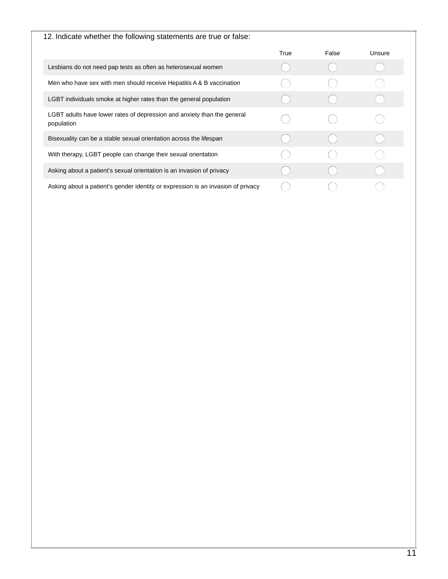| 12. Indicate whether the following statements are true or false:                      |      |       |        |
|---------------------------------------------------------------------------------------|------|-------|--------|
|                                                                                       | True | False | Unsure |
| Lesbians do not need pap tests as often as heterosexual women                         |      |       |        |
| Men who have sex with men should receive Hepatitis A & B vaccination                  |      |       |        |
| LGBT individuals smoke at higher rates than the general population                    |      |       |        |
| LGBT adults have lower rates of depression and anxiety than the general<br>population |      |       |        |
| Bisexuality can be a stable sexual orientation across the lifespan                    |      |       |        |
| With therapy, LGBT people can change their sexual orientation                         |      |       |        |
| Asking about a patient's sexual orientation is an invasion of privacy                 |      |       |        |
| Asking about a patient's gender identity or expression is an invasion of privacy      |      |       |        |